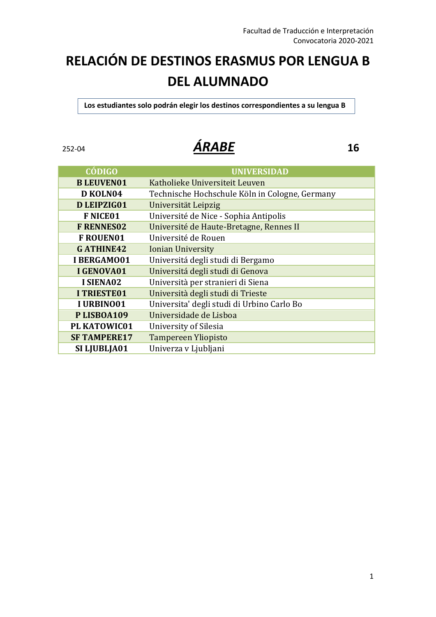## **RELACIÓN DE DESTINOS ERASMUS POR LENGUA B DEL ALUMNADO**

 **Los estudiantes solo podrán elegir los destinos correspondientes a su lengua B**

### 252-04 *ÁRABE* **16**

| <b>CÓDIGO</b>       | <b>UNIVERSIDAD</b>                             |
|---------------------|------------------------------------------------|
| <b>B LEUVEN01</b>   | Katholieke Universiteit Leuven                 |
| D KOLN04            | Technische Hochschule Köln in Cologne, Germany |
| D LEIPZIG01         | Universität Leipzig                            |
| <b>F NICE01</b>     | Université de Nice - Sophia Antipolis          |
| <b>F RENNES02</b>   | Université de Haute-Bretagne, Rennes II        |
| <b>F ROUEN01</b>    | Université de Rouen                            |
| <b>GATHINE42</b>    | <b>Ionian University</b>                       |
| I BERGAMO01         | Universitá degli studi di Bergamo              |
| I GENOVA01          | Universitá degli studi di Genova               |
| I SIENA02           | Università per stranieri di Siena              |
| <b>I TRIESTE01</b>  | Università degli studi di Trieste              |
| I URBINO01          | Universita' degli studi di Urbino Carlo Bo     |
| PLISBOA109          | Universidade de Lisboa                         |
| PL KATOWIC01        | University of Silesia                          |
| <b>SF TAMPERE17</b> | <b>Tampereen Yliopisto</b>                     |
| SI LJUBLJA01        | Univerza v Ljubljani                           |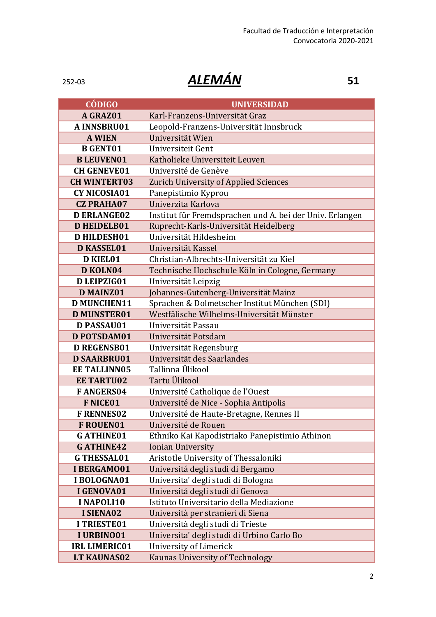### 252-03 *ALEMÁN* **51**

| <b>CÓDIGO</b>        | <b>UNIVERSIDAD</b>                                       |
|----------------------|----------------------------------------------------------|
| A GRAZ01             | Karl-Franzens-Universität Graz                           |
| A INNSBRU01          | Leopold-Franzens-Universität Innsbruck                   |
| <b>A WIEN</b>        | Universität Wien                                         |
| <b>B</b> GENT01      | Universiteit Gent                                        |
| <b>B LEUVEN01</b>    | Katholieke Universiteit Leuven                           |
| <b>CH GENEVE01</b>   | Université de Genève                                     |
| <b>CH WINTERT03</b>  | Zurich University of Applied Sciences                    |
| <b>CY NICOSIA01</b>  | Panepistimio Kyprou                                      |
| <b>CZ PRAHA07</b>    | Univerzita Karlova                                       |
| <b>D ERLANGE02</b>   | Institut für Fremdsprachen und A. bei der Univ. Erlangen |
| <b>D HEIDELB01</b>   | Ruprecht-Karls-Universität Heidelberg                    |
| <b>D HILDESH01</b>   | Universität Hildesheim                                   |
| <b>D KASSEL01</b>    | Universität Kassel                                       |
| <b>D KIEL01</b>      | Christian-Albrechts-Universität zu Kiel                  |
| D KOLN04             | Technische Hochschule Köln in Cologne, Germany           |
| D LEIPZIG01          | Universität Leipzig                                      |
| <b>D MAINZ01</b>     | Johannes-Gutenberg-Universität Mainz                     |
| <b>D MUNCHEN11</b>   | Sprachen & Dolmetscher Institut München (SDI)            |
| <b>D MUNSTER01</b>   | Westfälische Wilhelms-Universität Münster                |
| D PASSAU01           | Universität Passau                                       |
| <b>D POTSDAM01</b>   | Universität Potsdam                                      |
| <b>D REGENSB01</b>   | Universität Regensburg                                   |
| <b>D SAARBRU01</b>   | Universität des Saarlandes                               |
| <b>EE TALLINN05</b>  | Tallinna Ülikool                                         |
| <b>EE TARTU02</b>    | Tartu Ülikool                                            |
| <b>FANGERS04</b>     | Université Catholique de l'Ouest                         |
| <b>F NICE01</b>      | Université de Nice - Sophia Antipolis                    |
| <b>F RENNES02</b>    | Université de Haute-Bretagne, Rennes II                  |
| <b>F ROUEN01</b>     | Université de Rouen                                      |
| <b>GATHINE01</b>     | Ethniko Kai Kapodistriako Panepistimio Athinon           |
| <b>GATHINE42</b>     | <b>Ionian University</b>                                 |
| <b>G THESSAL01</b>   | Aristotle University of Thessaloniki                     |
| I BERGAMO01          | Universitá degli studi di Bergamo                        |
| I BOLOGNA01          | Universita' degli studi di Bologna                       |
| I GENOVA01           | Universitá degli studi di Genova                         |
| <b>INAPOLI10</b>     | Istituto Universitario della Mediazione                  |
| I SIENA02            | Università per stranieri di Siena                        |
| <b>I TRIESTE01</b>   | Università degli studi di Trieste                        |
| I URBINO01           | Universita' degli studi di Urbino Carlo Bo               |
| <b>IRL LIMERIC01</b> | University of Limerick                                   |
| LT KAUNAS02          | <b>Kaunas University of Technology</b>                   |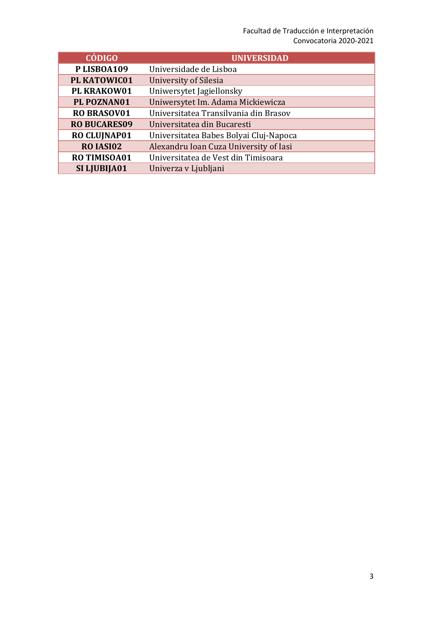### Facultad de Traducción e Interpretación Convocatoria 2020-2021

| <b>CÓDIGO</b>       | <b>UNIVERSIDAD</b>                     |
|---------------------|----------------------------------------|
| PLISBOA109          | Universidade de Lisboa                 |
| PL KATOWIC01        | <b>University of Silesia</b>           |
| PL KRAKOW01         | Uniwersytet Jagiellonsky               |
| PL POZNAN01         | Uniwersytet Im. Adama Mickiewicza      |
| <b>RO BRASOV01</b>  | Universitatea Transilvania din Brasov  |
| <b>RO BUCARES09</b> | Universitatea din Bucaresti            |
| <b>RO CLUJNAP01</b> | Universitatea Babes Bolyai Cluj-Napoca |
| RO IASI02           | Alexandru Ioan Cuza University of Iasi |
| RO TIMISOA01        | Universitatea de Vest din Timisoara    |
| SI LJUBIJA01        | Univerza v Ljubljani                   |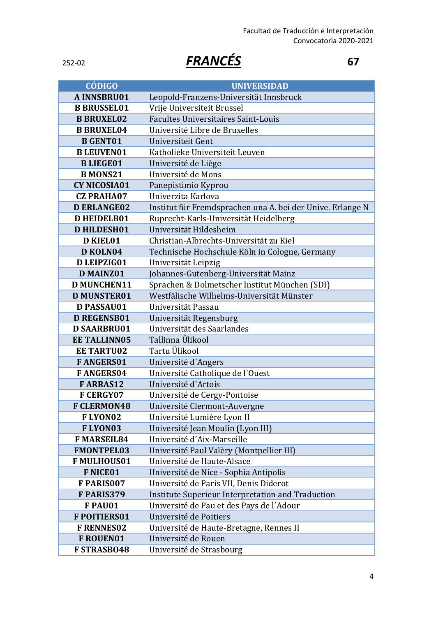# 252-02 *FRANCÉS* **67**

| <b>CÓDIGO</b>       | <b>UNIVERSIDAD</b>                                         |
|---------------------|------------------------------------------------------------|
| <b>A INNSBRU01</b>  | Leopold-Franzens-Universität Innsbruck                     |
| <b>B BRUSSEL01</b>  | Vrije Universiteit Brussel                                 |
| <b>B BRUXEL02</b>   | Facultes Universitaires Saint-Louis                        |
| <b>B BRUXEL04</b>   | Université Libre de Bruxelles                              |
| <b>B GENT01</b>     | Universiteit Gent                                          |
| <b>B LEUVEN01</b>   | Katholieke Universiteit Leuven                             |
| <b>BLIEGE01</b>     | Université de Liège                                        |
| <b>B MONS21</b>     | Université de Mons                                         |
| <b>CY NICOSIA01</b> | Panepistimio Kyprou                                        |
| <b>CZ PRAHA07</b>   | Univerzita Karlova                                         |
| <b>D ERLANGE02</b>  | Institut für Fremdsprachen una A. bei der Unive. Erlange N |
| <b>D HEIDELB01</b>  | Ruprecht-Karls-Universität Heidelberg                      |
| <b>D HILDESH01</b>  | Universität Hildesheim                                     |
| <b>D KIEL01</b>     | Christian-Albrechts-Universität zu Kiel                    |
| D KOLN04            | Technische Hochschule Köln in Cologne, Germany             |
| D LEIPZIG01         | Universität Leipzig                                        |
| <b>D MAINZ01</b>    | Johannes-Gutenberg-Universität Mainz                       |
| <b>D MUNCHEN11</b>  | Sprachen & Dolmetscher Institut München (SDI)              |
| <b>D MUNSTER01</b>  | Westfälische Wilhelms-Universität Münster                  |
| <b>D PASSAU01</b>   | Universität Passau                                         |
| <b>D REGENSB01</b>  | Universität Regensburg                                     |
| <b>D SAARBRU01</b>  | Universität des Saarlandes                                 |
| <b>EE TALLINN05</b> | Tallinna Ülikool                                           |
| <b>EE TARTU02</b>   | Tartu Ülikool                                              |
| <b>FANGERS01</b>    | Université d'Angers                                        |
| <b>FANGERS04</b>    | Université Catholique de l'Ouest                           |
| <b>FARRAS12</b>     | Université d'Artois                                        |
| <b>F CERGY07</b>    | Université de Cergy-Pontoise                               |
| <b>F CLERMON48</b>  | Université Clermont-Auvergne                               |
| <b>FLYON02</b>      | Université Lumière Lyon II                                 |
| FLYON03             | Université Jean Moulin (Lyon III)                          |
| <b>F MARSEIL84</b>  | Université d'Aix-Marseille                                 |
| <b>FMONTPEL03</b>   | Université Paul Valèry (Montpellier III)                   |
| <b>F MULHOUS01</b>  | Université de Haute-Alsace                                 |
| <b>F NICE01</b>     | Université de Nice - Sophia Antipolis                      |
| F PARIS007          | Université de Paris VII, Denis Diderot                     |
| F PARIS379          | Institute Superieur Interpretation and Traduction          |
| F PAU01             | Université de Pau et des Pays de l'Adour                   |
| <b>F POITIERS01</b> | Université de Poitiers                                     |
| <b>F RENNESO2</b>   | Université de Haute-Bretagne, Rennes II                    |
| F ROUEN01           | Université de Rouen                                        |
| <b>F STRASB048</b>  | Université de Strasbourg                                   |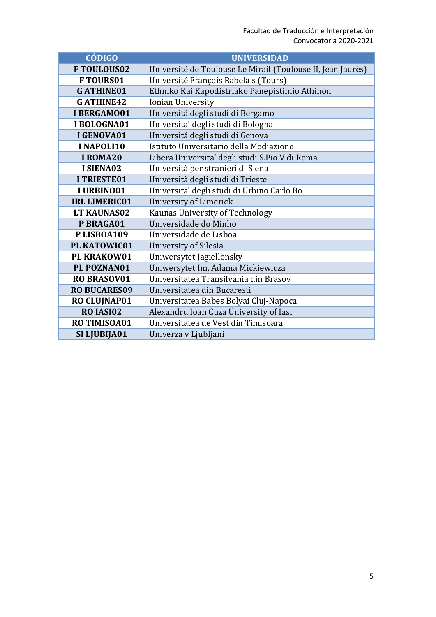| <b>CÓDIGO</b>        | <b>UNIVERSIDAD</b>                                          |
|----------------------|-------------------------------------------------------------|
| <b>FTOULOUS02</b>    | Université de Toulouse Le Mirail (Toulouse II, Jean Jaurès) |
| <b>FTOURS01</b>      | Université François Rabelais (Tours)                        |
| <b>GATHINE01</b>     | Ethniko Kai Kapodistriako Panepistimio Athinon              |
| <b>GATHINE42</b>     | Ionian University                                           |
| <b>I BERGAMO01</b>   | Universitá degli studi di Bergamo                           |
| I BOLOGNA01          | Universita' degli studi di Bologna                          |
| I GENOVA01           | Universitá degli studi di Genova                            |
| I NAPOLI10           | Istituto Universitario della Mediazione                     |
| I ROMA20             | Libera Universita' degli studi S.Pio V di Roma              |
| I SIENA02            | Università per stranieri di Siena                           |
| <b>I TRIESTE01</b>   | Università degli studi di Trieste                           |
| I URBINO01           | Universita' degli studi di Urbino Carlo Bo                  |
| <b>IRL LIMERIC01</b> | University of Limerick                                      |
| <b>LT KAUNAS02</b>   | Kaunas University of Technology                             |
| P BRAGA01            | Universidade do Minho                                       |
| PLISBOA109           | Universidade de Lisboa                                      |
| PL KATOWIC01         | University of Silesia                                       |
| PL KRAKOW01          | Uniwersytet Jagiellonsky                                    |
| PL POZNAN01          | Uniwersytet Im. Adama Mickiewicza                           |
| <b>RO BRASOV01</b>   | Universitatea Transilvania din Brasov                       |
| <b>RO BUCARES09</b>  | Universitatea din Bucaresti                                 |
| <b>RO CLUJNAP01</b>  | Universitatea Babes Bolyai Cluj-Napoca                      |
| RO IASI02            | Alexandru Ioan Cuza University of Iasi                      |
| <b>RO TIMISOA01</b>  | Universitatea de Vest din Timisoara                         |
| SI LJUBIJA01         | Univerza v Ljubljani                                        |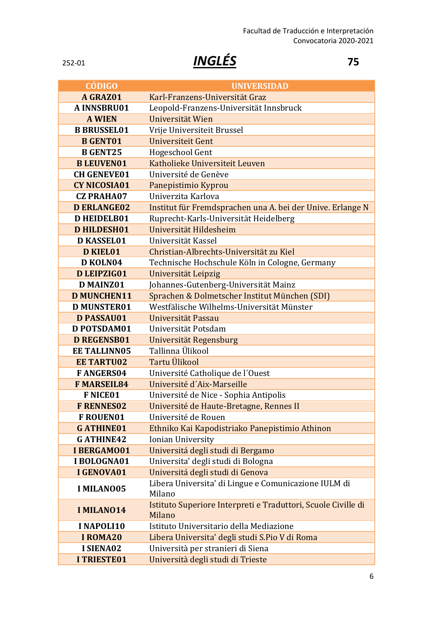# 252-01 *INGLÉS* **75**

| <b>CÓDIGO</b>       | <b>UNIVERSIDAD</b>                                                      |
|---------------------|-------------------------------------------------------------------------|
| A GRAZ01            | Karl-Franzens-Universität Graz                                          |
| A INNSBRU01         | Leopold-Franzens-Universität Innsbruck                                  |
| <b>A WIEN</b>       | Universität Wien                                                        |
| <b>B BRUSSEL01</b>  | Vrije Universiteit Brussel                                              |
| <b>B GENT01</b>     | Universiteit Gent                                                       |
| <b>B GENT25</b>     | Hogeschool Gent                                                         |
| <b>B LEUVEN01</b>   | Katholieke Universiteit Leuven                                          |
| <b>CH GENEVE01</b>  | Université de Genève                                                    |
| <b>CY NICOSIA01</b> | Panepistimio Kyprou                                                     |
| <b>CZ PRAHA07</b>   | Univerzita Karlova                                                      |
| <b>D ERLANGE02</b>  | Institut für Fremdsprachen una A. bei der Unive. Erlange N              |
| <b>D HEIDELB01</b>  | Ruprecht-Karls-Universität Heidelberg                                   |
| <b>D HILDESH01</b>  | Universität Hildesheim                                                  |
| <b>D KASSEL01</b>   | Universität Kassel                                                      |
| <b>D KIEL01</b>     | Christian-Albrechts-Universität zu Kiel                                 |
| D KOLN04            | Technische Hochschule Köln in Cologne, Germany                          |
| D LEIPZIG01         | Universität Leipzig                                                     |
| <b>D MAINZ01</b>    | Johannes-Gutenberg-Universität Mainz                                    |
| <b>D MUNCHEN11</b>  | Sprachen & Dolmetscher Institut München (SDI)                           |
| <b>D MUNSTER01</b>  | Westfälische Wilhelms-Universität Münster                               |
| <b>D PASSAU01</b>   | Universität Passau                                                      |
| D POTSDAM01         | Universität Potsdam                                                     |
| <b>D REGENSB01</b>  | Universität Regensburg                                                  |
| <b>EE TALLINN05</b> | Tallinna Ülikool                                                        |
| <b>EE TARTU02</b>   | Tartu Ülikool                                                           |
| <b>FANGERS04</b>    | Université Catholique de l'Ouest                                        |
| <b>F MARSEIL84</b>  | Université d'Aix-Marseille                                              |
| <b>F NICE01</b>     | Université de Nice - Sophia Antipolis                                   |
| <b>F RENNES02</b>   | Université de Haute-Bretagne, Rennes II                                 |
| <b>F ROUEN01</b>    | Université de Rouen                                                     |
| <b>GATHINE01</b>    | Ethniko Kai Kapodistriako Panepistimio Athinon                          |
| <b>GATHINE42</b>    | Ionian University                                                       |
| I BERGAMO01         | Universitá degli studi di Bergamo                                       |
| I BOLOGNA01         | Universita' degli studi di Bologna                                      |
| I GENOVA01          | Universitá degli studi di Genova                                        |
| <b>I MILANO05</b>   | Libera Universita' di Lingue e Comunicazione IULM di<br>Milano          |
| <b>I MILANO14</b>   | Istituto Superiore Interpreti e Traduttori, Scuole Civille di<br>Milano |
| I NAPOLI10          | Istituto Universitario della Mediazione                                 |
| <b>I ROMA20</b>     | Libera Universita' degli studi S.Pio V di Roma                          |
| I SIENA02           | Università per stranieri di Siena                                       |
| <b>I TRIESTE01</b>  | Università degli studi di Trieste                                       |